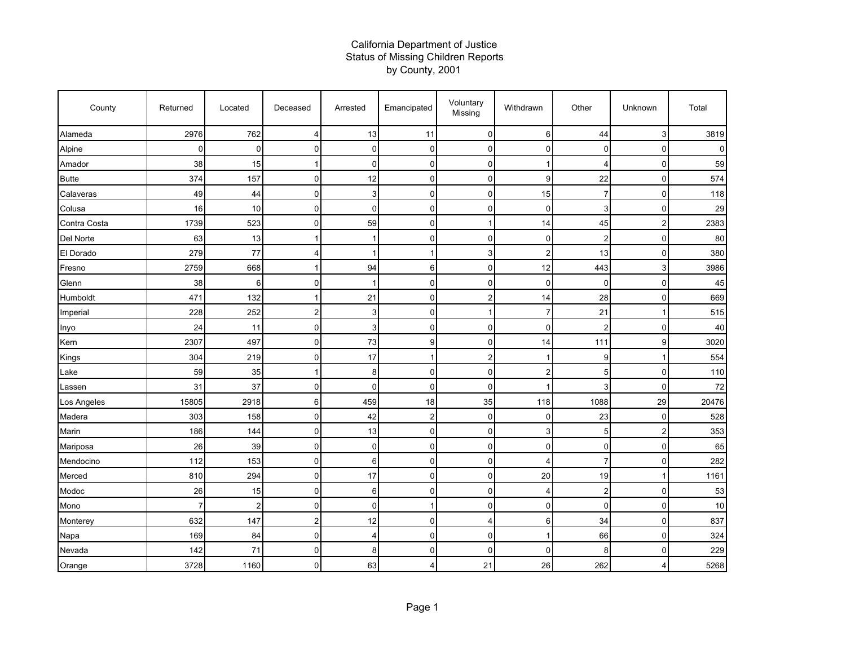## California Department of Justice Status of Missing Children Reports by County, 2001

| County       | Returned    | Located        | Deceased       | Arrested    | Emancipated    | Voluntary<br>Missing    | Withdrawn      | Other          | Unknown                 | Total |
|--------------|-------------|----------------|----------------|-------------|----------------|-------------------------|----------------|----------------|-------------------------|-------|
| Alameda      | 2976        | 762            | $\overline{4}$ | 13          | 11             | $\pmb{0}$               | 6              | 44             | 3                       | 3819  |
| Alpine       | $\mathbf 0$ | 0              | $\mathbf 0$    | $\mathbf 0$ | $\mathbf 0$    | 0                       | $\mathbf 0$    | $\mathbf 0$    | 0                       | 0     |
| Amador       | 38          | 15             | $\overline{1}$ | $\mathbf 0$ | $\mathbf 0$    | $\mathbf 0$             | 1              | 4              | $\mathbf 0$             | 59    |
| <b>Butte</b> | 374         | 157            | $\Omega$       | 12          | $\mathbf{0}$   | $\mathbf 0$             | 9              | 22             | 0                       | 574   |
| Calaveras    | 49          | 44             | $\mathbf 0$    | 3           | 0              | 0                       | 15             | 7              | 0                       | 118   |
| Colusa       | 16          | 10             | $\mathbf 0$    | $\mathbf 0$ | $\mathbf 0$    | 0                       | $\mathbf 0$    | 3              | 0                       | 29    |
| Contra Costa | 1739        | 523            | 0              | 59          | $\mathbf 0$    | $\mathbf{1}$            | 14             | 45             | $\overline{\mathbf{c}}$ | 2383  |
| Del Norte    | 63          | 13             | 1              | 1           | $\mathbf{0}$   | $\pmb{0}$               | $\mathbf 0$    | $\overline{2}$ | 0                       | 80    |
| El Dorado    | 279         | 77             | $\overline{4}$ | 1           |                | 3                       | $\overline{2}$ | 13             | 0                       | 380   |
| Fresno       | 2759        | 668            | 1              | 94          | 6              | 0                       | 12             | 443            | 3                       | 3986  |
| Glenn        | 38          | 6              | $\mathbf 0$    |             | $\mathbf 0$    | 0                       | $\mathbf 0$    | $\mathbf 0$    | 0                       | 45    |
| Humboldt     | 471         | 132            | 1              | 21          | $\mathbf 0$    | $\overline{\mathbf{c}}$ | 14             | 28             | 0                       | 669   |
| Imperial     | 228         | 252            | $\overline{2}$ | 3           | $\mathbf 0$    | $\mathbf{1}$            | $\overline{7}$ | 21             | 1                       | 515   |
| Inyo         | 24          | 11             | 0              | 3           | $\Omega$       | $\mathbf 0$             | $\mathbf 0$    | $\overline{2}$ | 0                       | 40    |
| Kern         | 2307        | 497            | $\mathbf 0$    | 73          | 9              | $\mathbf 0$             | 14             | 111            | 9                       | 3020  |
| Kings        | 304         | 219            | $\mathbf 0$    | 17          |                | $\overline{2}$          | $\mathbf{1}$   | 9              | 1                       | 554   |
| Lake         | 59          | 35             | $\overline{1}$ | 8           | $\mathbf 0$    | $\mathbf 0$             | $\overline{2}$ | 5              | 0                       | 110   |
| Lassen       | 31          | 37             | $\mathbf 0$    | $\mathbf 0$ | 0              | 0                       | $\mathbf{1}$   | 3              | 0                       | 72    |
| Los Angeles  | 15805       | 2918           | 6              | 459         | 18             | 35                      | 118            | 1088           | 29                      | 20476 |
| Madera       | 303         | 158            | 0              | 42          | $\overline{2}$ | 0                       | 0              | 23             | 0                       | 528   |
| Marin        | 186         | 144            | $\mathbf 0$    | 13          | $\mathbf 0$    | $\pmb{0}$               | 3              | 5              | $\overline{\mathbf{c}}$ | 353   |
| Mariposa     | 26          | 39             | $\mathbf 0$    | $\mathbf 0$ | $\mathbf{0}$   | $\mathbf 0$             | $\mathbf 0$    | $\mathbf 0$    | 0                       | 65    |
| Mendocino    | 112         | 153            | $\Omega$       | 6           | $\mathbf{0}$   | $\mathbf 0$             | 4              | $\overline{7}$ | 0                       | 282   |
| Merced       | 810         | 294            | $\pmb{0}$      | 17          | $\mathbf 0$    | $\mathbf 0$             | 20             | 19             | 1                       | 1161  |
| Modoc        | 26          | 15             | $\pmb{0}$      | 6           | 0              | $\pmb{0}$               | 4              | $\overline{c}$ | 0                       | 53    |
| Mono         | 7           | $\overline{2}$ | 0              | $\mathbf 0$ |                | $\pmb{0}$               | 0              | $\mathbf 0$    | 0                       | 10    |
| Monterey     | 632         | 147            | $\overline{2}$ | 12          | $\mathbf{0}$   | $\overline{4}$          | 6              | 34             | 0                       | 837   |
| Napa         | 169         | 84             | $\mathbf 0$    | 4           | $\mathbf 0$    | $\mathbf 0$             | $\mathbf{1}$   | 66             | 0                       | 324   |
| Nevada       | 142         | 71             | $\mathbf 0$    | 8           | $\mathbf 0$    | $\mathbf 0$             | $\mathbf 0$    | 8              | 0                       | 229   |
| Orange       | 3728        | 1160           | 0              | 63          | $\overline{4}$ | 21                      | 26             | 262            | 4                       | 5268  |